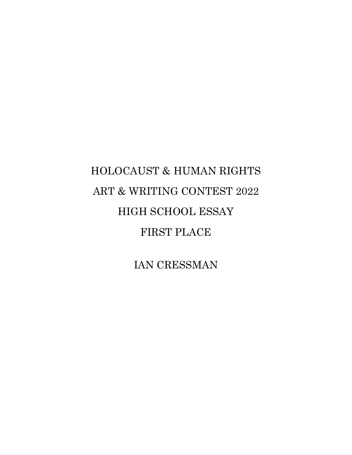## HOLOCAUST & HUMAN RIGHTS ART & WRITING CONTEST 2022 HIGH SCHOOL ESSAY FIRST PLACE

IAN CRESSMAN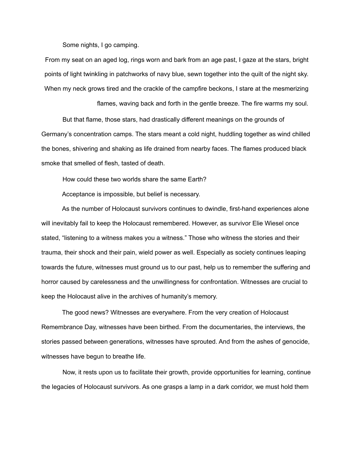Some nights, I go camping.

From my seat on an aged log, rings worn and bark from an age past, I gaze at the stars, bright points of light twinkling in patchworks of navy blue, sewn together into the quilt of the night sky. When my neck grows tired and the crackle of the campfire beckons, I stare at the mesmerizing

flames, waving back and forth in the gentle breeze. The fire warms my soul.

But that flame, those stars, had drastically different meanings on the grounds of Germany's concentration camps. The stars meant a cold night, huddling together as wind chilled the bones, shivering and shaking as life drained from nearby faces. The flames produced black smoke that smelled of flesh, tasted of death.

How could these two worlds share the same Earth?

Acceptance is impossible, but belief is necessary.

As the number of Holocaust survivors continues to dwindle, first-hand experiences alone will inevitably fail to keep the Holocaust remembered. However, as survivor Elie Wiesel once stated, "listening to a witness makes you a witness." Those who witness the stories and their trauma, their shock and their pain, wield power as well. Especially as society continues leaping towards the future, witnesses must ground us to our past, help us to remember the suffering and horror caused by carelessness and the unwillingness for confrontation. Witnesses are crucial to keep the Holocaust alive in the archives of humanity's memory.

The good news? Witnesses are everywhere. From the very creation of Holocaust Remembrance Day, witnesses have been birthed. From the documentaries, the interviews, the stories passed between generations, witnesses have sprouted. And from the ashes of genocide, witnesses have begun to breathe life.

Now, it rests upon us to facilitate their growth, provide opportunities for learning, continue the legacies of Holocaust survivors. As one grasps a lamp in a dark corridor, we must hold them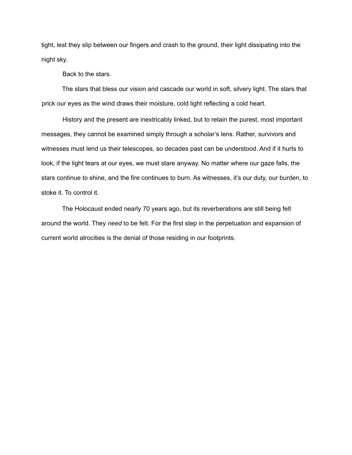tight, lest they slip between our fingers and crash to the ground, their light dissipating into the night sky.

Back to the stars.

The stars that bless our vision and cascade our world in soft, silvery light. The stars that prick our eyes as the wind draws their moisture, cold light reflecting a cold heart.

History and the present are inextricably linked, but to retain the purest, most important messages, they cannot be examined simply through a scholar's lens. Rather, survivors and witnesses must lend us their telescopes, so decades past can be understood. And if it hurts to look, if the light tears at our eyes, we must stare anyway. No matter where our gaze falls, the stars continue to shine, and the fire continues to burn. As witnesses, it's our duty, our burden, to stoke it. To control it.

The Holocaust ended nearly 70 years ago, but its reverberations are still being felt around the world. They *need* to be felt. For the first step in the perpetuation and expansion of current world atrocities is the denial of those residing in our footprints.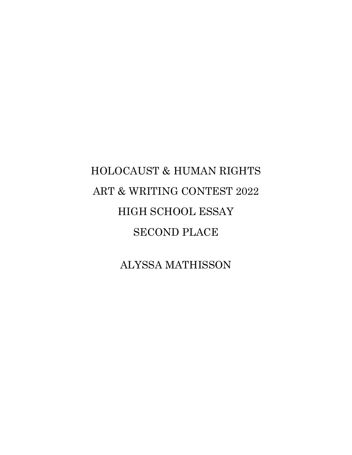# HOLOCAUST & HUMAN RIGHTS ART & WRITING CONTEST 2022 HIGH SCHOOL ESSAY SECOND PLACE

ALYSSA MATHISSON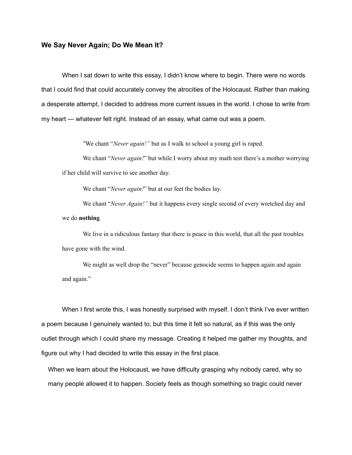#### **We Say Never Again; Do We Mean It?**

When I sat down to write this essay, I didn't know where to begin. There were no words that I could find that could accurately convey the atrocities of the Holocaust. Rather than making a desperate attempt, I decided to address more current issues in the world. I chose to write from my heart — whatever felt right. Instead of an essay, what came out was a poem.

"We chant "*Never again!"* but as I walk to school a young girl is raped.

We chant "*Never again!*" but while I worry about my math test there's a mother worrying if her child will survive to see another day.

We chant "*Never again!*" but at our feet the bodies lay.

We chant "*Never Again!"* but it happens every single second of every wretched day and we do **nothing***.*

We live in a ridiculous fantasy that there is peace in this world, that all the past troubles have gone with the wind.

We might as well drop the "never" because genocide seems to happen again and again and again."

When I first wrote this, I was honestly surprised with myself. I don't think I've ever written a poem because I genuinely wanted to, but this time it felt so natural, as if this was the only outlet through which I could share my message. Creating it helped me gather my thoughts, and figure out why I had decided to write this essay in the first place.

When we learn about the Holocaust, we have difficulty grasping why nobody cared, why so many people allowed it to happen. Society feels as though something so tragic could never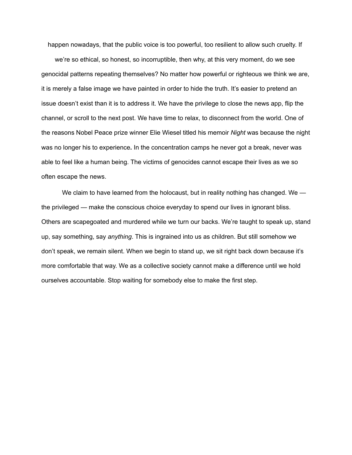happen nowadays, that the public voice is too powerful, too resilient to allow such cruelty. If

we're so ethical, so honest, so incorruptible, then why, at this very moment, do we see genocidal patterns repeating themselves? No matter how powerful or righteous we think we are, it is merely a false image we have painted in order to hide the truth. It's easier to pretend an issue doesn't exist than it is to address it. We have the privilege to close the news app, flip the channel, or scroll to the next post. We have time to relax, to disconnect from the world. One of the reasons Nobel Peace prize winner Elie Wiesel titled his memoir *Night* was because the night was no longer his to experience**.** In the concentration camps he never got a break, never was able to feel like a human being. The victims of genocides cannot escape their lives as we so often escape the news.

We claim to have learned from the holocaust, but in reality nothing has changed. We the privileged — make the conscious choice everyday to spend our lives in ignorant bliss. Others are scapegoated and murdered while we turn our backs. We're taught to speak up, stand up, say something, say *anything*. This is ingrained into us as children. But still somehow we don't speak, we remain silent. When we begin to stand up, we sit right back down because it's more comfortable that way. We as a collective society cannot make a difference until we hold ourselves accountable. Stop waiting for somebody else to make the first step.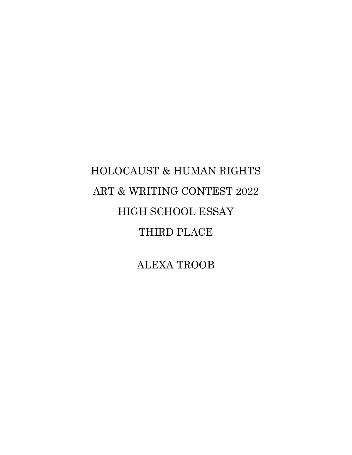## HOLOCAUST & HUMAN RIGHTS ART & WRITING CONTEST 2022 HIGH SCHOOL ESSAY THIRD PLACE

ALEXA TROOB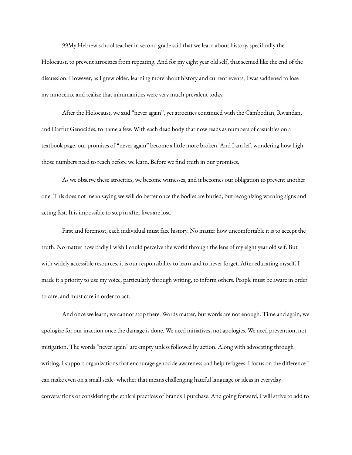99My Hebrew school teacher in second grade said that we learn about history, specifically the Holocaust, to prevent atrocities from repeating. And for my eight year old self, that seemed like the end of the discussion. However, as I grew older, learning more about history and current events, I was saddened to lose my innocence and realize that inhumanities were very much prevalent today.

After the Holocaust, we said "never again", yet atrocities continued with the Cambodian, Rwandan, and Darfur Genocides, to name a few. With each dead body that now reads as numbers of casualties on a textbook page, our promises of "never again" become a little more broken. And I am left wondering how high those numbers need to reach before we learn. Before we find truth in our promises.

As we observe these atrocities, we become witnesses, and it becomes our obligation to prevent another one. This does not mean saying we will do better once the bodies are buried, but recognizing warning signs and acting fast. It is impossible to step in after lives are lost.

First and foremost, each individual must face history. No matter how uncomfortable it is to accept the truth. No matter how badly I wish I could perceive the world through the lens of my eight year old self. But with widely accessible resources, it is our responsibility to learn and to never forget. After educating myself, I made it a priority to use my voice, particularly through writing, to inform others. People must be aware in order to care, and must care in order to act.

And once we learn, we cannot stop there. Words matter, but words are not enough. Time and again, we apologize for our inaction once the damage is done. We need initiatives, not apologies. We need prevention, not mitigation. The words "never again" are empty unless followed by action. Along with advocating through writing, I support organizations that encourage genocide awareness and help refugees. I focus on the difference I can make even on a small scale- whether that means challenging hateful language or ideas in everyday conversations or considering the ethical practices of brands I purchase. And going forward, I will strive to add to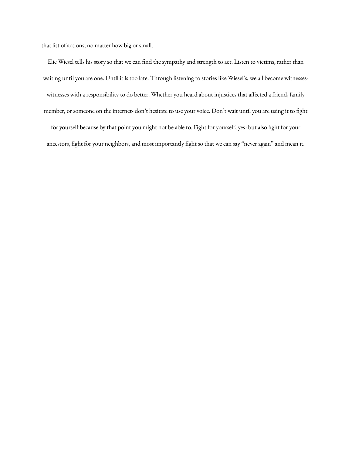that list of actions, no matter how big or small.

Elie Wiesel tells his story so that we can find the sympathy and strength to act. Listen to victims, rather than waiting until you are one. Until it is too late. Through listening to stories like Wiesel's, we all become witnesseswitnesses with a responsibility to do better. Whether you heard about injustices that affected a friend, family member, or someone on the internet- don't hesitate to use your voice. Don't wait until you are using it to fight for yourself because by that point you might not be able to. Fight for yourself, yes- but also fight for your

ancestors, fight for your neighbors, and most importantly fight so that we can say "never again" and mean it.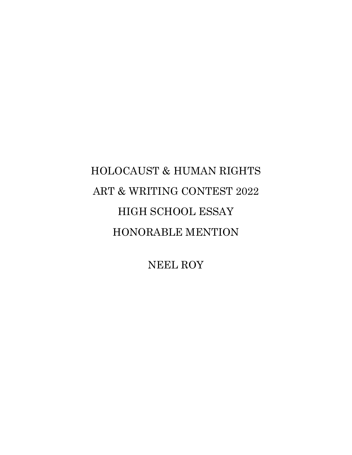### HOLOCAUST & HUMAN RIGHTS ART & WRITING CONTEST 2022 HIGH SCHOOL ESSAY HONORABLE MENTION

NEEL ROY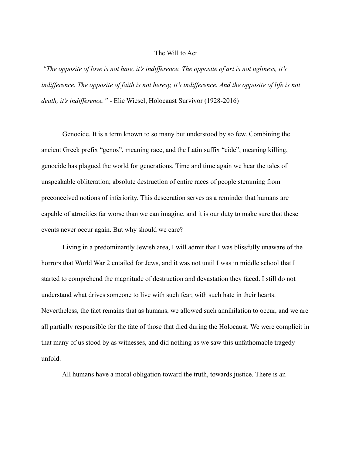#### The Will to Act

*"The opposite of love is not hate, it's indifference. The opposite of art is not ugliness, it's indifference. The opposite of faith is not heresy, it's indifference. And the opposite of life is not death, it's indifference."* - Elie Wiesel, Holocaust Survivor (1928-2016)

Genocide. It is a term known to so many but understood by so few. Combining the ancient Greek prefix "genos", meaning race, and the Latin suffix "cide", meaning killing, genocide has plagued the world for generations. Time and time again we hear the tales of unspeakable obliteration; absolute destruction of entire races of people stemming from preconceived notions of inferiority. This desecration serves as a reminder that humans are capable of atrocities far worse than we can imagine, and it is our duty to make sure that these events never occur again. But why should we care?

Living in a predominantly Jewish area, I will admit that I was blissfully unaware of the horrors that World War 2 entailed for Jews, and it was not until I was in middle school that I started to comprehend the magnitude of destruction and devastation they faced. I still do not understand what drives someone to live with such fear, with such hate in their hearts. Nevertheless, the fact remains that as humans, we allowed such annihilation to occur, and we are all partially responsible for the fate of those that died during the Holocaust. We were complicit in that many of us stood by as witnesses, and did nothing as we saw this unfathomable tragedy unfold.

All humans have a moral obligation toward the truth, towards justice. There is an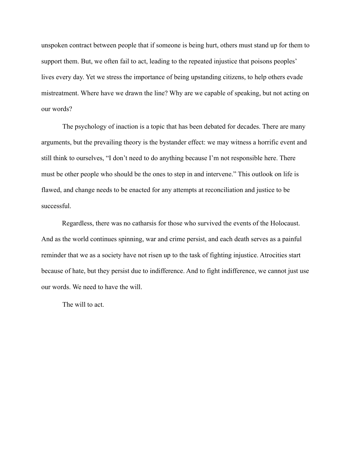unspoken contract between people that if someone is being hurt, others must stand up for them to support them. But, we often fail to act, leading to the repeated injustice that poisons peoples' lives every day. Yet we stress the importance of being upstanding citizens, to help others evade mistreatment. Where have we drawn the line? Why are we capable of speaking, but not acting on our words?

The psychology of inaction is a topic that has been debated for decades. There are many arguments, but the prevailing theory is the bystander effect: we may witness a horrific event and still think to ourselves, "I don't need to do anything because I'm not responsible here. There must be other people who should be the ones to step in and intervene." This outlook on life is flawed, and change needs to be enacted for any attempts at reconciliation and justice to be successful.

Regardless, there was no catharsis for those who survived the events of the Holocaust. And as the world continues spinning, war and crime persist, and each death serves as a painful reminder that we as a society have not risen up to the task of fighting injustice. Atrocities start because of hate, but they persist due to indifference. And to fight indifference, we cannot just use our words. We need to have the will.

The will to act.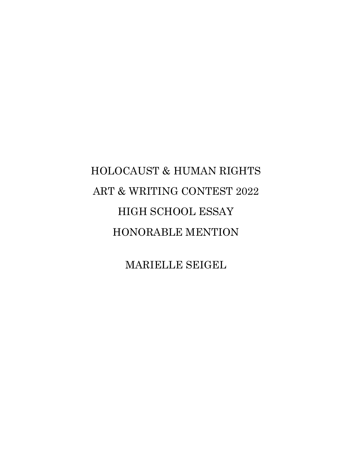## HOLOCAUST & HUMAN RIGHTS ART & WRITING CONTEST 2022 HIGH SCHOOL ESSAY HONORABLE MENTION

MARIELLE SEIGEL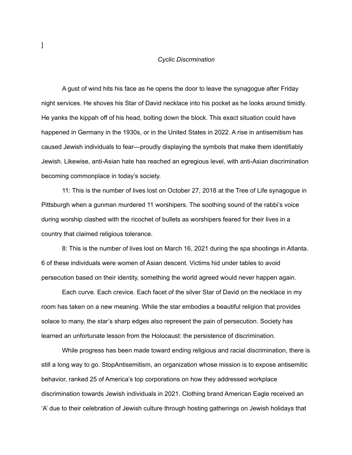#### *Cyclic Discrmination*

A gust of wind hits his face as he opens the door to leave the synagogue after Friday night services. He shoves his Star of David necklace into his pocket as he looks around timidly. He yanks the kippah off of his head, bolting down the block. This exact situation could have happened in Germany in the 1930s, or in the United States in 2022. A rise in antisemitism has caused Jewish individuals to fear—proudly displaying the symbols that make them identifiably Jewish. Likewise, anti-Asian hate has reached an egregious level, with anti-Asian discrimination becoming commonplace in today's society.

11: This is the number of lives lost on October 27, 2018 at the Tree of Life synagogue in Pittsburgh when a gunman murdered 11 worshipers. The soothing sound of the rabbi's voice during worship clashed with the ricochet of bullets as worshipers feared for their lives in a country that claimed religious tolerance.

8: This is the number of lives lost on March 16, 2021 during the spa shootings in Atlanta. 6 of these individuals were women of Asian descent. Victims hid under tables to avoid persecution based on their identity, something the world agreed would never happen again.

Each curve. Each crevice. Each facet of the silver Star of David on the necklace in my room has taken on a new meaning. While the star embodies a beautiful religion that provides solace to many, the star's sharp edges also represent the pain of persecution. Society has learned an unfortunate lesson from the Holocaust: the persistence of discrimination.

While progress has been made toward ending religious and racial discrimination, there is still a long way to go. StopAntisemitism, an organization whose mission is to expose antisemitic behavior, ranked 25 of America's top corporations on how they addressed workplace discrimination towards Jewish individuals in 2021. Clothing brand American Eagle received an 'A' due to their celebration of Jewish culture through hosting gatherings on Jewish holidays that